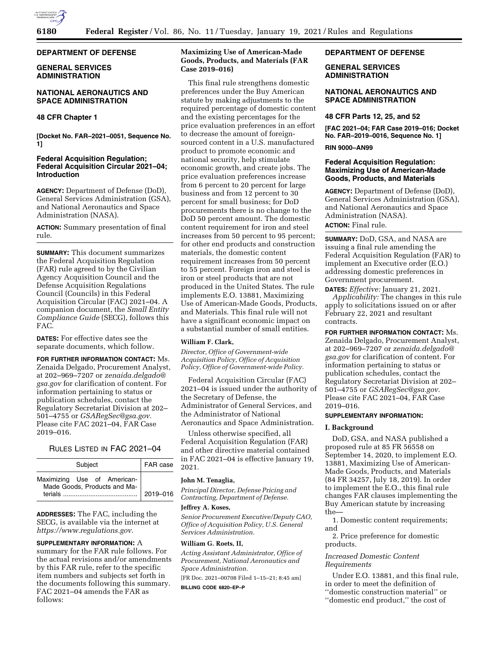

# **DEPARTMENT OF DEFENSE**

# **GENERAL SERVICES ADMINISTRATION**

# **NATIONAL AERONAUTICS AND SPACE ADMINISTRATION**

# **48 CFR Chapter 1**

**[Docket No. FAR–2021–0051, Sequence No. 1]** 

# **Federal Acquisition Regulation; Federal Acquisition Circular 2021–04; Introduction**

**AGENCY:** Department of Defense (DoD), General Services Administration (GSA), and National Aeronautics and Space Administration (NASA).

**ACTION:** Summary presentation of final rule.

**SUMMARY:** This document summarizes the Federal Acquisition Regulation (FAR) rule agreed to by the Civilian Agency Acquisition Council and the Defense Acquisition Regulations Council (Councils) in this Federal Acquisition Circular (FAC) 2021–04. A companion document, the *Small Entity Compliance Guide* (SECG), follows this FAC.

**DATES:** For effective dates see the separate documents, which follow.

**FOR FURTHER INFORMATION CONTACT:** Ms. Zenaida Delgado, Procurement Analyst, at 202–969–7207 or *[zenaida.delgado@](mailto:zenaida.delgado@gsa.gov) [gsa.gov](mailto:zenaida.delgado@gsa.gov)* for clarification of content. For information pertaining to status or publication schedules, contact the Regulatory Secretariat Division at 202– 501–4755 or *[GSARegSec@gsa.gov.](mailto:GSARegSec@gsa.gov)*  Please cite FAC 2021–04, FAR Case 2019–016.

# RULES LISTED IN FAC 2021–04

| Subject                                                     | FAR case |
|-------------------------------------------------------------|----------|
| Maximizing Use of American-<br>Made Goods, Products and Ma- | 2019-016 |

**ADDRESSES:** The FAC, including the SECG, is available via the internet at *[https://www.regulations.gov.](https://www.regulations.gov)* 

# **SUPPLEMENTARY INFORMATION:** A

summary for the FAR rule follows. For the actual revisions and/or amendments by this FAR rule, refer to the specific item numbers and subjects set forth in the documents following this summary. FAC 2021–04 amends the FAR as follows:

# **Maximizing Use of American-Made Goods, Products, and Materials (FAR Case 2019–016)**

This final rule strengthens domestic preferences under the Buy American statute by making adjustments to the required percentage of domestic content and the existing percentages for the price evaluation preferences in an effort to decrease the amount of foreignsourced content in a U.S. manufactured product to promote economic and national security, help stimulate economic growth, and create jobs. The price evaluation preferences increase from 6 percent to 20 percent for large business and from 12 percent to 30 percent for small business; for DoD procurements there is no change to the DoD 50 percent amount. The domestic content requirement for iron and steel increases from 50 percent to 95 percent; for other end products and construction materials, the domestic content requirement increases from 50 percent to 55 percent. Foreign iron and steel is iron or steel products that are not produced in the United States. The rule implements E.O. 13881, Maximizing Use of American-Made Goods, Products, and Materials. This final rule will not have a significant economic impact on a substantial number of small entities.

#### **William F. Clark,**

*Director, Office of Government-wide Acquisition Policy, Office of Acquisition Policy, Office of Government-wide Policy.* 

Federal Acquisition Circular (FAC) 2021–04 is issued under the authority of the Secretary of Defense, the Administrator of General Services, and the Administrator of National Aeronautics and Space Administration.

Unless otherwise specified, all Federal Acquisition Regulation (FAR) and other directive material contained in FAC 2021–04 is effective January 19, 2021.

# **John M. Tenaglia,**

*Principal Director, Defense Pricing and Contracting, Department of Defense.* 

#### **Jeffrey A. Koses,**

*Senior Procurement Executive/Deputy CAO, Office of Acquisition Policy, U.S. General Services Administration.* 

# **William G. Roets, II,**

*Acting Assistant Administrator, Office of Procurement, National Aeronautics and Space Administration.* 

[FR Doc. 2021–00708 Filed 1–15–21; 8:45 am] **BILLING CODE 6820–EP–P** 

# **DEPARTMENT OF DEFENSE**

# **GENERAL SERVICES ADMINISTRATION**

# **NATIONAL AERONAUTICS AND SPACE ADMINISTRATION**

# **48 CFR Parts 12, 25, and 52**

**[FAC 2021–04; FAR Case 2019–016; Docket No. FAR–2019–0016, Sequence No. 1]** 

# **RIN 9000–AN99**

# **Federal Acquisition Regulation: Maximizing Use of American-Made Goods, Products, and Materials**

**AGENCY:** Department of Defense (DoD), General Services Administration (GSA), and National Aeronautics and Space Administration (NASA). **ACTION:** Final rule.

**SUMMARY:** DoD, GSA, and NASA are issuing a final rule amending the Federal Acquisition Regulation (FAR) to implement an Executive order (E.O.) addressing domestic preferences in Government procurement.

**DATES:** *Effective:* January 21, 2021. *Applicability:* The changes in this rule apply to solicitations issued on or after February 22, 2021 and resultant contracts.

**FOR FURTHER INFORMATION CONTACT:** Ms. Zenaida Delgado, Procurement Analyst, at 202–969–7207 or *[zenaida.delgado@](mailto:zenaida.delgado@gsa.gov) [gsa.gov](mailto:zenaida.delgado@gsa.gov)* for clarification of content. For information pertaining to status or publication schedules, contact the Regulatory Secretariat Division at 202– 501–4755 or *[GSARegSec@gsa.gov.](mailto:GSARegSec@gsa.gov)*  Please cite FAC 2021–04, FAR Case 2019–016.

# **SUPPLEMENTARY INFORMATION:**

#### **I. Background**

DoD, GSA, and NASA published a proposed rule at 85 FR 56558 on September 14, 2020, to implement E.O. 13881, Maximizing Use of American-Made Goods, Products, and Materials (84 FR 34257, July 18, 2019). In order to implement the E.O., this final rule changes FAR clauses implementing the Buy American statute by increasing the—

1. Domestic content requirements; and

2. Price preference for domestic products.

# *Increased Domestic Content Requirements*

Under E.O. 13881, and this final rule, in order to meet the definition of ''domestic construction material'' or

''domestic end product,'' the cost of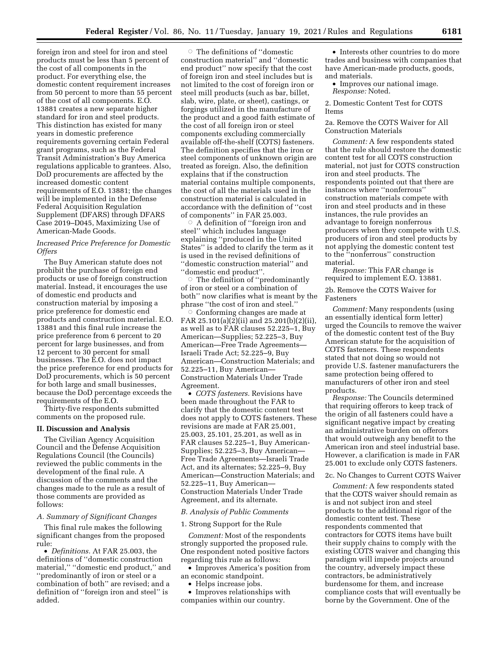foreign iron and steel for iron and steel products must be less than 5 percent of the cost of all components in the product. For everything else, the domestic content requirement increases from 50 percent to more than 55 percent of the cost of all components. E.O. 13881 creates a new separate higher standard for iron and steel products. This distinction has existed for many years in domestic preference requirements governing certain Federal grant programs, such as the Federal Transit Administration's Buy America regulations applicable to grantees. Also, DoD procurements are affected by the increased domestic content requirements of E.O. 13881; the changes will be implemented in the Defense Federal Acquisition Regulation Supplement (DFARS) through DFARS Case 2019–D045, Maximizing Use of American-Made Goods.

# *Increased Price Preference for Domestic Offers*

The Buy American statute does not prohibit the purchase of foreign end products or use of foreign construction material. Instead, it encourages the use of domestic end products and construction material by imposing a price preference for domestic end products and construction material. E.O. 13881 and this final rule increase the price preference from 6 percent to 20 percent for large businesses, and from 12 percent to 30 percent for small businesses. The E.O. does not impact the price preference for end products for DoD procurements, which is 50 percent for both large and small businesses, because the DoD percentage exceeds the requirements of the E.O.

Thirty-five respondents submitted comments on the proposed rule.

#### **II. Discussion and Analysis**

The Civilian Agency Acquisition Council and the Defense Acquisition Regulations Council (the Councils) reviewed the public comments in the development of the final rule. A discussion of the comments and the changes made to the rule as a result of those comments are provided as follows:

#### *A. Summary of Significant Changes*

This final rule makes the following significant changes from the proposed rule:

• *Definitions.* At FAR 25.003, the definitions of ''domestic construction material,'' ''domestic end product,'' and ''predominantly of iron or steel or a combination of both'' are revised; and a definition of ''foreign iron and steel'' is added.

 $\circ\,$  The definitions of ''domestic construction material'' and ''domestic end product'' now specify that the cost of foreign iron and steel includes but is not limited to the cost of foreign iron or steel mill products (such as bar, billet, slab, wire, plate, or sheet), castings, or forgings utilized in the manufacture of the product and a good faith estimate of the cost of all foreign iron or steel components excluding commercially available off-the-shelf (COTS) fasteners. The definition specifies that the iron or steel components of unknown origin are treated as foreign. Also, the definition explains that if the construction material contains multiple components, the cost of all the materials used in the construction material is calculated in accordance with the definition of ''cost of components'' in FAR 25.003.

 $\circ$  A definition of ''foreign iron and steel'' which includes language explaining ''produced in the United States'' is added to clarify the term as it is used in the revised definitions of ''domestic construction material'' and ''domestic end product''. Æ

 The definition of ''predominantly of iron or steel or a combination of both'' now clarifies what is meant by the phrase ''the cost of iron and steel.''

 $\circ$  Conforming changes are made at FAR 25.101(a)(2)(ii) and 25.201(b)(2)(ii), as well as to FAR clauses 52.225–1, Buy American—Supplies; 52.225–3, Buy American—Free Trade Agreements— Israeli Trade Act; 52.225–9, Buy American—Construction Materials; and 52.225–11, Buy American— Construction Materials Under Trade Agreement.

• *COTS fasteners.* Revisions have been made throughout the FAR to clarify that the domestic content test does not apply to COTS fasteners. These revisions are made at FAR 25.001, 25.003, 25.101, 25.201, as well as in FAR clauses 52.225–1, Buy American-Supplies; 52.225–3, Buy American— Free Trade Agreements—Israeli Trade Act, and its alternates; 52.225–9, Buy American—Construction Materials; and 52.225–11, Buy American— Construction Materials Under Trade Agreement, and its alternate.

#### *B. Analysis of Public Comments*

#### 1. Strong Support for the Rule

*Comment:* Most of the respondents strongly supported the proposed rule. One respondent noted positive factors regarding this rule as follows:

• Improves America's position from an economic standpoint.

• Helps increase jobs.

• Improves relationships with companies within our country.

• Interests other countries to do more trades and business with companies that have American-made products, goods, and materials.

• Improves our national image. *Response:* Noted.

2. Domestic Content Test for COTS Items

# 2a. Remove the COTS Waiver for All Construction Materials

*Comment:* A few respondents stated that the rule should restore the domestic content test for all COTS construction material, not just for COTS construction iron and steel products. The respondents pointed out that there are instances where ''nonferrous'' construction materials compete with iron and steel products and in these instances, the rule provides an advantage to foreign nonferrous producers when they compete with U.S. producers of iron and steel products by not applying the domestic content test to the ''nonferrous'' construction material.

*Response:* This FAR change is required to implement E.O. 13881.

# 2b. Remove the COTS Waiver for Fasteners

*Comment:* Many respondents (using an essentially identical form letter) urged the Councils to remove the waiver of the domestic content test of the Buy American statute for the acquisition of COTS fasteners. These respondents stated that not doing so would not provide U.S. fastener manufacturers the same protection being offered to manufacturers of other iron and steel products.

*Response:* The Councils determined that requiring offerors to keep track of the origin of all fasteners could have a significant negative impact by creating an administrative burden on offerors that would outweigh any benefit to the American iron and steel industrial base. However, a clarification is made in FAR 25.001 to exclude only COTS fasteners.

#### 2c. No Changes to Current COTS Waiver

*Comment:* A few respondents stated that the COTS waiver should remain as is and not subject iron and steel products to the additional rigor of the domestic content test. These respondents commented that contractors for COTS items have built their supply chains to comply with the existing COTS waiver and changing this paradigm will impede projects around the country, adversely impact these contractors, be administratively burdensome for them, and increase compliance costs that will eventually be borne by the Government. One of the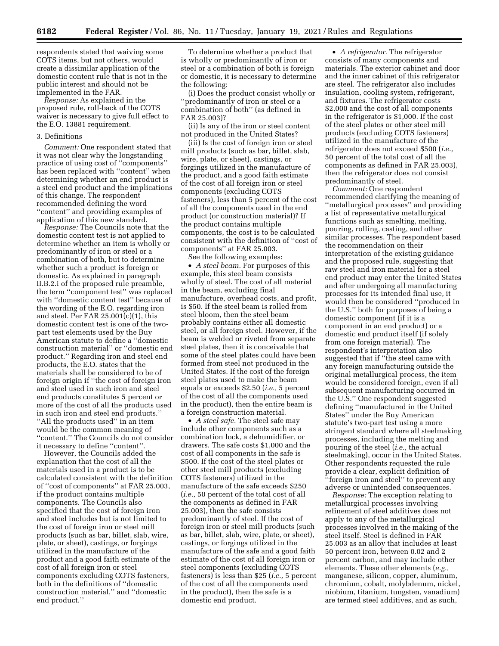respondents stated that waiving some COTS items, but not others, would create a dissimilar application of the domestic content rule that is not in the public interest and should not be implemented in the FAR.

*Response:* As explained in the proposed rule, roll-back of the COTS waiver is necessary to give full effect to the E.O. 13881 requirement.

#### 3. Definitions

*Comment:* One respondent stated that it was not clear why the longstanding practice of using cost of ''components'' has been replaced with ''content'' when determining whether an end product is a steel end product and the implications of this change. The respondent recommended defining the word ''content'' and providing examples of application of this new standard.

*Response:* The Councils note that the domestic content test is not applied to determine whether an item is wholly or predominantly of iron or steel or a combination of both, but to determine whether such a product is foreign or domestic. As explained in paragraph II.B.2.i of the proposed rule preamble, the term ''component test'' was replaced with ''domestic content test'' because of the wording of the E.O. regarding iron and steel. Per FAR 25.001(c)(1), this domestic content test is one of the twopart test elements used by the Buy American statute to define a ''domestic construction material'' or ''domestic end product.'' Regarding iron and steel end products, the E.O. states that the materials shall be considered to be of foreign origin if ''the cost of foreign iron and steel used in such iron and steel end products constitutes 5 percent or more of the cost of all the products used in such iron and steel end products.'' "All the products used" in an item would be the common meaning of ''content.'' The Councils do not consider it necessary to define ''content''.

However, the Councils added the explanation that the cost of all the materials used in a product is to be calculated consistent with the definition of ''cost of components'' at FAR 25.003, if the product contains multiple components. The Councils also specified that the cost of foreign iron and steel includes but is not limited to the cost of foreign iron or steel mill products (such as bar, billet, slab, wire, plate, or sheet), castings, or forgings utilized in the manufacture of the product and a good faith estimate of the cost of all foreign iron or steel components excluding COTS fasteners, both in the definitions of ''domestic construction material,'' and ''domestic end product.''

To determine whether a product that is wholly or predominantly of iron or steel or a combination of both is foreign or domestic, it is necessary to determine the following:

(i) Does the product consist wholly or ''predominantly of iron or steel or a combination of both'' (as defined in FAR 25.003)?

(ii) Is any of the iron or steel content not produced in the United States?

(iii) Is the cost of foreign iron or steel mill products (such as bar, billet, slab, wire, plate, or sheet), castings, or forgings utilized in the manufacture of the product, and a good faith estimate of the cost of all foreign iron or steel components (excluding COTS fasteners), less than 5 percent of the cost of all the components used in the end product (or construction material)? If the product contains multiple components, the cost is to be calculated consistent with the definition of ''cost of components'' at FAR 25.003.

See the following examples: • *A steel beam.* For purposes of this example, this steel beam consists wholly of steel. The cost of all material in the beam, excluding final manufacture, overhead costs, and profit, is \$50. If the steel beam is rolled from steel bloom, then the steel beam probably contains either all domestic steel, or all foreign steel. However, if the beam is welded or riveted from separate steel plates, then it is conceivable that some of the steel plates could have been formed from steel not produced in the United States. If the cost of the foreign steel plates used to make the beam equals or exceeds \$2.50 (*i.e.,* 5 percent

of the cost of all the components used in the product), then the entire beam is

a foreign construction material. • *A steel safe.* The steel safe may include other components such as a combination lock, a dehumidifier, or drawers. The safe costs \$1,000 and the cost of all components in the safe is \$500. If the cost of the steel plates or other steel mill products (excluding COTS fasteners) utilized in the manufacture of the safe exceeds \$250 (*i.e.,* 50 percent of the total cost of all the components as defined in FAR 25.003), then the safe consists predominantly of steel. If the cost of foreign iron or steel mill products (such as bar, billet, slab, wire, plate, or sheet), castings, or forgings utilized in the manufacture of the safe and a good faith estimate of the cost of all foreign iron or steel components (excluding COTS fasteners) is less than \$25 (*i.e.,* 5 percent of the cost of all the components used in the product), then the safe is a domestic end product.

• *A refrigerator.* The refrigerator consists of many components and materials. The exterior cabinet and door and the inner cabinet of this refrigerator are steel. The refrigerator also includes insulation, cooling system, refrigerant, and fixtures. The refrigerator costs \$2,000 and the cost of all components in the refrigerator is \$1,000. If the cost of the steel plates or other steel mill products (excluding COTS fasteners) utilized in the manufacture of the refrigerator does not exceed \$500 (*i.e.,*  50 percent of the total cost of all the components as defined in FAR 25.003), then the refrigerator does not consist predominantly of steel.

*Comment:* One respondent recommended clarifying the meaning of ''metallurgical processes'' and providing a list of representative metallurgical functions such as smelting, melting, pouring, rolling, casting, and other similar processes. The respondent based the recommendation on their interpretation of the existing guidance and the proposed rule, suggesting that raw steel and iron material for a steel end product may enter the United States and after undergoing all manufacturing processes for its intended final use, it would then be considered ''produced in the U.S.'' both for purposes of being a domestic component (if it is a component in an end product) or a domestic end product itself (if solely from one foreign material). The respondent's interpretation also suggested that if ''the steel came with any foreign manufacturing outside the original metallurgical process, the item would be considered foreign, even if all subsequent manufacturing occurred in the U.S.'' One respondent suggested defining ''manufactured in the United States'' under the Buy American statute's two-part test using a more stringent standard where all steelmaking processes, including the melting and pouring of the steel (*i.e.,* the actual steelmaking), occur in the United States. Other respondents requested the rule provide a clear, explicit definition of ''foreign iron and steel'' to prevent any adverse or unintended consequences.

*Response:* The exception relating to metallurgical processes involving refinement of steel additives does not apply to any of the metallurgical processes involved in the making of the steel itself. Steel is defined in FAR 25.003 as an alloy that includes at least 50 percent iron, between 0.02 and 2 percent carbon, and may include other elements. These other elements (*e.g.,*  manganese, silicon, copper, aluminum, chromium, cobalt, molybdenum, nickel, niobium, titanium, tungsten, vanadium) are termed steel additives, and as such,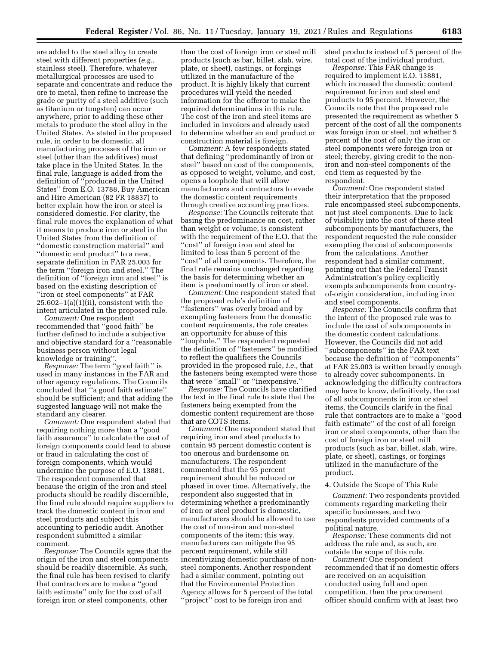are added to the steel alloy to create steel with different properties (*e.g.,*  stainless steel). Therefore, whatever metallurgical processes are used to separate and concentrate and reduce the ore to metal, then refine to increase the grade or purity of a steel additive (such as titanium or tungsten) can occur anywhere, prior to adding these other metals to produce the steel alloy in the United States. As stated in the proposed rule, in order to be domestic, all manufacturing processes of the iron or steel (other than the additives) must take place in the United States. In the final rule, language is added from the definition of ''produced in the United States'' from E.O. 13788, Buy American and Hire American (82 FR 18837) to better explain how the iron or steel is considered domestic. For clarity, the final rule moves the explanation of what it means to produce iron or steel in the United States from the definition of ''domestic construction material'' and ''domestic end product'' to a new, separate definition in FAR 25.003 for the term ''foreign iron and steel.'' The definition of ''foreign iron and steel'' is based on the existing description of ''iron or steel components'' at FAR 25.602–1(a)(1)(ii), consistent with the intent articulated in the proposed rule.

*Comment:* One respondent recommended that ''good faith'' be further defined to include a subjective and objective standard for a ''reasonable business person without legal knowledge or training''.

*Response:* The term ''good faith'' is used in many instances in the FAR and other agency regulations. The Councils concluded that ''a good faith estimate'' should be sufficient; and that adding the suggested language will not make the standard any clearer.

*Comment:* One respondent stated that requiring nothing more than a ''good faith assurance'' to calculate the cost of foreign components could lead to abuse or fraud in calculating the cost of foreign components, which would undermine the purpose of E.O. 13881. The respondent commented that because the origin of the iron and steel products should be readily discernible, the final rule should require suppliers to track the domestic content in iron and steel products and subject this accounting to periodic audit. Another respondent submitted a similar comment.

*Response:* The Councils agree that the origin of the iron and steel components should be readily discernible. As such, the final rule has been revised to clarify that contractors are to make a ''good faith estimate'' only for the cost of all foreign iron or steel components, other

than the cost of foreign iron or steel mill products (such as bar, billet, slab, wire, plate, or sheet), castings, or forgings utilized in the manufacture of the product. It is highly likely that current procedures will yield the needed information for the offeror to make the required determinations in this rule. The cost of the iron and steel items are included in invoices and already used to determine whether an end product or construction material is foreign.

*Comment:* A few respondents stated that defining ''predominantly of iron or steel'' based on cost of the components, as opposed to weight, volume, and cost, opens a loophole that will allow manufacturers and contractors to evade the domestic content requirements through creative accounting practices.

*Response:* The Councils reiterate that basing the predominance on cost, rather than weight or volume, is consistent with the requirement of the E.O. that the ''cost'' of foreign iron and steel be limited to less than 5 percent of the ''cost'' of all components. Therefore, the final rule remains unchanged regarding the basis for determining whether an item is predominantly of iron or steel.

*Comment:* One respondent stated that the proposed rule's definition of ''fasteners'' was overly broad and by exempting fasteners from the domestic content requirements, the rule creates an opportunity for abuse of this ''loophole.'' The respondent requested the definition of ''fasteners'' be modified to reflect the qualifiers the Councils provided in the proposed rule, *i.e.,* that the fasteners being exempted were those that were ''small'' or ''inexpensive.''

*Response:* The Councils have clarified the text in the final rule to state that the fasteners being exempted from the domestic content requirement are those that are COTS items.

*Comment:* One respondent stated that requiring iron and steel products to contain 95 percent domestic content is too onerous and burdensome on manufacturers. The respondent commented that the 95 percent requirement should be reduced or phased in over time. Alternatively, the respondent also suggested that in determining whether a predominantly of iron or steel product is domestic, manufacturers should be allowed to use the cost of non-iron and non-steel components of the item; this way, manufacturers can mitigate the 95 percent requirement, while still incentivizing domestic purchase of nonsteel components. Another respondent had a similar comment, pointing out that the Environmental Protection Agency allows for 5 percent of the total ''project'' cost to be foreign iron and

steel products instead of 5 percent of the total cost of the individual product.

*Response:* This FAR change is required to implement E.O. 13881, which increased the domestic content requirement for iron and steel end products to 95 percent. However, the Councils note that the proposed rule presented the requirement as whether 5 percent of the cost of all the components was foreign iron or steel, not whether 5 percent of the cost of only the iron or steel components were foreign iron or steel; thereby, giving credit to the noniron and non-steel components of the end item as requested by the respondent.

*Comment:* One respondent stated their interpretation that the proposed rule encompassed steel subcomponents, not just steel components. Due to lack of visibility into the cost of these steel subcomponents by manufacturers, the respondent requested the rule consider exempting the cost of subcomponents from the calculations. Another respondent had a similar comment, pointing out that the Federal Transit Administration's policy explicitly exempts subcomponents from countryof-origin consideration, including iron and steel components.

*Response:* The Councils confirm that the intent of the proposed rule was to include the cost of subcomponents in the domestic content calculations. However, the Councils did not add ''subcomponents'' in the FAR text because the definition of ''components'' at FAR 25.003 is written broadly enough to already cover subcomponents. In acknowledging the difficulty contractors may have to know, definitively, the cost of all subcomponents in iron or steel items, the Councils clarify in the final rule that contractors are to make a ''good faith estimate'' of the cost of all foreign iron or steel components, other than the cost of foreign iron or steel mill products (such as bar, billet, slab, wire, plate, or sheet), castings, or forgings utilized in the manufacture of the product.

# 4. Outside the Scope of This Rule

*Comment:* Two respondents provided comments regarding marketing their specific businesses, and two respondents provided comments of a political nature.

*Response:* These comments did not address the rule and, as such, are outside the scope of this rule.

*Comment:* One respondent recommended that if no domestic offers are received on an acquisition conducted using full and open competition, then the procurement officer should confirm with at least two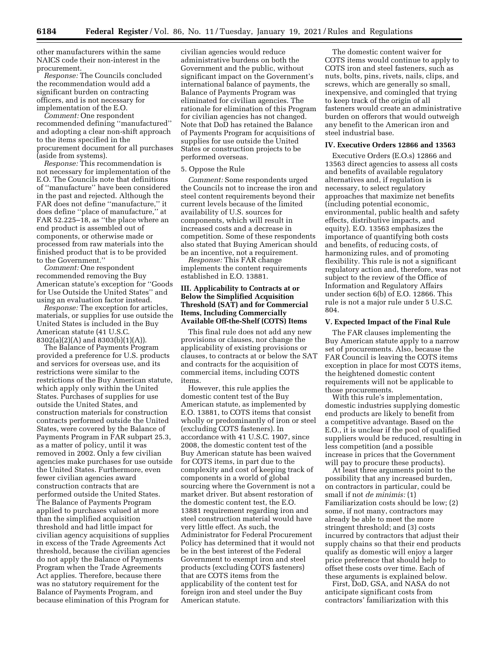other manufacturers within the same NAICS code their non-interest in the procurement.

*Response:* The Councils concluded the recommendation would add a significant burden on contracting officers, and is not necessary for implementation of the E.O.

*Comment:* One respondent recommended defining ''manufactured'' and adopting a clear non-shift approach to the items specified in the procurement document for all purchases (aside from systems).

*Response:* This recommendation is not necessary for implementation of the E.O. The Councils note that definitions of ''manufacture'' have been considered in the past and rejected. Although the FAR does not define ''manufacture,'' it does define ''place of manufacture,'' at FAR 52.225–18, as ''the place where an end product is assembled out of components, or otherwise made or processed from raw materials into the finished product that is to be provided to the Government.''

*Comment:* One respondent recommended removing the Buy American statute's exception for ''Goods for Use Outside the United States'' and using an evaluation factor instead.

*Response:* The exception for articles, materials, or supplies for use outside the United States is included in the Buy American statute (41 U.S.C. 8302(a)(2)(A) and 8303(b)(1)(A)).

The Balance of Payments Program provided a preference for U.S. products and services for overseas use, and its restrictions were similar to the restrictions of the Buy American statute, which apply only within the United States. Purchases of supplies for use outside the United States, and construction materials for construction contracts performed outside the United States, were covered by the Balance of Payments Program in FAR subpart 25.3, as a matter of policy, until it was removed in 2002. Only a few civilian agencies make purchases for use outside the United States. Furthermore, even fewer civilian agencies award construction contracts that are performed outside the United States. The Balance of Payments Program applied to purchases valued at more than the simplified acquisition threshold and had little impact for civilian agency acquisitions of supplies in excess of the Trade Agreements Act threshold, because the civilian agencies do not apply the Balance of Payments Program when the Trade Agreements Act applies. Therefore, because there was no statutory requirement for the Balance of Payments Program, and because elimination of this Program for

civilian agencies would reduce administrative burdens on both the Government and the public, without significant impact on the Government's international balance of payments, the Balance of Payments Program was eliminated for civilian agencies. The rationale for elimination of this Program for civilian agencies has not changed. Note that DoD has retained the Balance of Payments Program for acquisitions of supplies for use outside the United States or construction projects to be performed overseas.

#### 5. Oppose the Rule

*Comment:* Some respondents urged the Councils not to increase the iron and steel content requirements beyond their current levels because of the limited availability of U.S. sources for components, which will result in increased costs and a decrease in competition. Some of these respondents also stated that Buying American should be an incentive, not a requirement.

*Response:* This FAR change implements the content requirements established in E.O. 13881.

# **III. Applicability to Contracts at or Below the Simplified Acquisition Threshold (SAT) and for Commercial Items, Including Commercially Available Off-the-Shelf (COTS) Items**

This final rule does not add any new provisions or clauses, nor change the applicability of existing provisions or clauses, to contracts at or below the SAT and contracts for the acquisition of commercial items, including COTS items.

However, this rule applies the domestic content test of the Buy American statute, as implemented by E.O. 13881, to COTS items that consist wholly or predominantly of iron or steel (excluding COTS fasteners). In accordance with 41 U.S.C. 1907, since 2008, the domestic content test of the Buy American statute has been waived for COTS items, in part due to the complexity and cost of keeping track of components in a world of global sourcing where the Government is not a market driver. But absent restoration of the domestic content test, the E.O. 13881 requirement regarding iron and steel construction material would have very little effect. As such, the Administrator for Federal Procurement Policy has determined that it would not be in the best interest of the Federal Government to exempt iron and steel products (excluding COTS fasteners) that are COTS items from the applicability of the content test for foreign iron and steel under the Buy American statute.

The domestic content waiver for COTS items would continue to apply to COTS iron and steel fasteners, such as nuts, bolts, pins, rivets, nails, clips, and screws, which are generally so small, inexpensive, and comingled that trying to keep track of the origin of all fasteners would create an administrative burden on offerors that would outweigh any benefit to the American iron and steel industrial base.

# **IV. Executive Orders 12866 and 13563**

Executive Orders (E.O.s) 12866 and 13563 direct agencies to assess all costs and benefits of available regulatory alternatives and, if regulation is necessary, to select regulatory approaches that maximize net benefits (including potential economic, environmental, public health and safety effects, distributive impacts, and equity). E.O. 13563 emphasizes the importance of quantifying both costs and benefits, of reducing costs, of harmonizing rules, and of promoting flexibility. This rule is not a significant regulatory action and, therefore, was not subject to the review of the Office of Information and Regulatory Affairs under section 6(b) of E.O. 12866. This rule is not a major rule under 5 U.S.C. 804.

# **V. Expected Impact of the Final Rule**

The FAR clauses implementing the Buy American statute apply to a narrow set of procurements. Also, because the FAR Council is leaving the COTS items exception in place for most COTS items, the heightened domestic content requirements will not be applicable to those procurements.

With this rule's implementation, domestic industries supplying domestic end products are likely to benefit from a competitive advantage. Based on the E.O., it is unclear if the pool of qualified suppliers would be reduced, resulting in less competition (and a possible increase in prices that the Government will pay to procure these products).

At least three arguments point to the possibility that any increased burden, on contractors in particular, could be small if not *de minimis:* (1) Familiarization costs should be low; (2) some, if not many, contractors may already be able to meet the more stringent threshold; and (3) costs incurred by contractors that adjust their supply chains so that their end products qualify as domestic will enjoy a larger price preference that should help to offset these costs over time. Each of these arguments is explained below.

First, DoD, GSA, and NASA do not anticipate significant costs from contractors' familiarization with this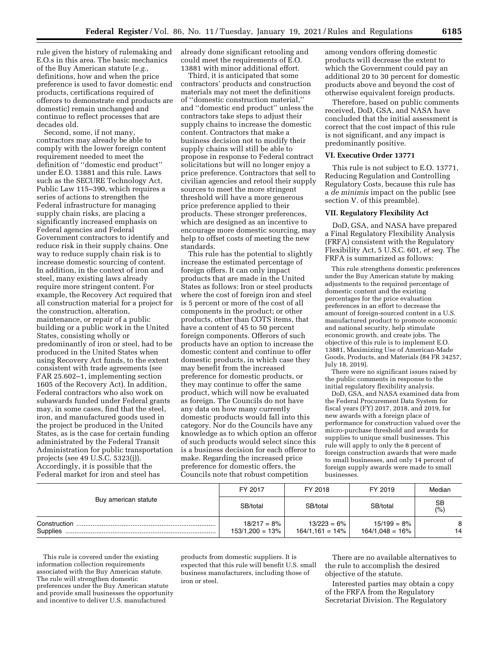rule given the history of rulemaking and E.O.s in this area. The basic mechanics of the Buy American statute (*e.g.,*  definitions, how and when the price preference is used to favor domestic end products, certifications required of offerors to demonstrate end products are domestic) remain unchanged and continue to reflect processes that are decades old.

Second, some, if not many, contractors may already be able to comply with the lower foreign content requirement needed to meet the definition of ''domestic end product'' under E.O. 13881 and this rule. Laws such as the SECURE Technology Act, Public Law 115–390, which requires a series of actions to strengthen the Federal infrastructure for managing supply chain risks, are placing a significantly increased emphasis on Federal agencies and Federal Government contractors to identify and reduce risk in their supply chains. One way to reduce supply chain risk is to increase domestic sourcing of content. In addition, in the context of iron and steel, many existing laws already require more stringent content. For example, the Recovery Act required that all construction material for a project for the construction, alteration, maintenance, or repair of a public building or a public work in the United States, consisting wholly or predominantly of iron or steel, had to be produced in the United States when using Recovery Act funds, to the extent consistent with trade agreements (see FAR 25.602–1, implementing section 1605 of the Recovery Act). In addition, Federal contractors who also work on subawards funded under Federal grants may, in some cases, find that the steel, iron, and manufactured goods used in the project be produced in the United States, as is the case for certain funding administrated by the Federal Transit Administration for public transportation projects (see 49 U.S.C. 5323(j)). Accordingly, it is possible that the Federal market for iron and steel has

already done significant retooling and could meet the requirements of E.O. 13881 with minor additional effort.

Third, it is anticipated that some contractors' products and construction materials may not meet the definitions of ''domestic construction material,'' and ''domestic end product'' unless the contractors take steps to adjust their supply chains to increase the domestic content. Contractors that make a business decision not to modify their supply chains will still be able to propose in response to Federal contract solicitations but will no longer enjoy a price preference. Contractors that sell to civilian agencies and retool their supply sources to meet the more stringent threshold will have a more generous price preference applied to their products. These stronger preferences, which are designed as an incentive to encourage more domestic sourcing, may help to offset costs of meeting the new standards.

This rule has the potential to slightly increase the estimated percentage of foreign offers. It can only impact products that are made in the United States as follows: Iron or steel products where the cost of foreign iron and steel is 5 percent or more of the cost of all components in the product; or other products, other than COTS items, that have a content of 45 to 50 percent foreign components. Offerors of such products have an option to increase the domestic content and continue to offer domestic products, in which case they may benefit from the increased preference for domestic products, or they may continue to offer the same product, which will now be evaluated as foreign. The Councils do not have any data on how many currently domestic products would fall into this category. Nor do the Councils have any knowledge as to which option an offeror of such products would select since this is a business decision for each offeror to make. Regarding the increased price preference for domestic offers, the Councils note that robust competition

among vendors offering domestic products will decrease the extent to which the Government could pay an additional 20 to 30 percent for domestic products above and beyond the cost of otherwise equivalent foreign products.

Therefore, based on public comments received, DoD, GSA, and NASA have concluded that the initial assessment is correct that the cost impact of this rule is not significant, and any impact is predominantly positive.

#### **VI. Executive Order 13771**

This rule is not subject to E.O. 13771, Reducing Regulation and Controlling Regulatory Costs, because this rule has a *de minimis* impact on the public (see section V. of this preamble).

# **VII. Regulatory Flexibility Act**

DoD, GSA, and NASA have prepared a Final Regulatory Flexibility Analysis (FRFA) consistent with the Regulatory Flexibility Act, 5 U.S.C. 601, *et seq.* The FRFA is summarized as follows:

This rule strengthens domestic preferences under the Buy American statute by making adjustments to the required percentage of domestic content and the existing percentages for the price evaluation preferences in an effort to decrease the amount of foreign-sourced content in a U.S. manufactured product to promote economic and national security, help stimulate economic growth, and create jobs. The objective of this rule is to implement E.O. 13881, Maximizing Use of American-Made Goods, Products, and Materials (84 FR 34257, July 18, 2019).

There were no significant issues raised by the public comments in response to the initial regulatory flexibility analysis.

DoD, GSA, and NASA examined data from the Federal Procurement Data System for fiscal years (FY) 2017, 2018, and 2019, for new awards with a foreign place of performance for construction valued over the micro-purchase threshold and awards for supplies to unique small businesses. This rule will apply to only the 8 percent of foreign construction awards that were made to small businesses, and only 14 percent of foreign supply awards were made to small businesses.

|                          | FY 2017                            | FY 2018                              | FY 2019                            | Median    |
|--------------------------|------------------------------------|--------------------------------------|------------------------------------|-----------|
| Buy american statute     | SB/total                           | SB/total                             | SB/total                           | SB<br>(%) |
| Construction<br>Supplies | $18/217 = 8%$<br>$153/1,200 = 13%$ | $13/223 = 6\%$<br>$164/1,161 = 14\%$ | $15/199 = 8%$<br>$164/1,048 = 16%$ | 8<br>14   |

This rule is covered under the existing information collection requirements associated with the Buy American statute. The rule will strengthen domestic preferences under the Buy American statute and provide small businesses the opportunity and incentive to deliver U.S. manufactured

products from domestic suppliers. It is expected that this rule will benefit U.S. small business manufacturers, including those of iron or steel.

There are no available alternatives to the rule to accomplish the desired objective of the statute.

Interested parties may obtain a copy of the FRFA from the Regulatory Secretariat Division. The Regulatory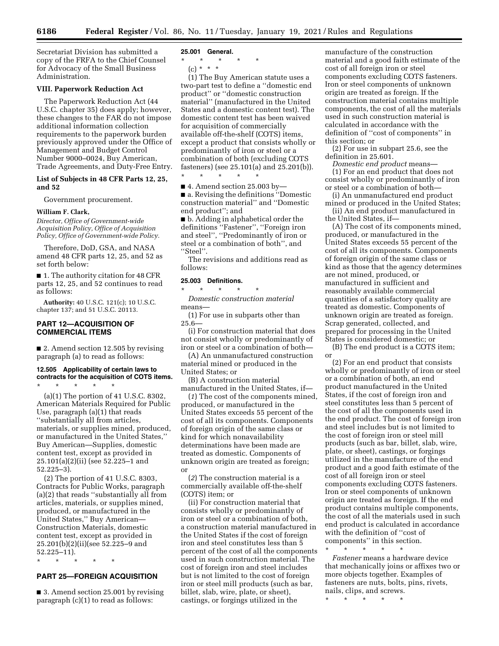**6186 Federal Register** / Vol. 86, No. 11 / Tuesday, January 19, 2021 / Rules and Regulations

Secretariat Division has submitted a copy of the FRFA to the Chief Counsel for Advocacy of the Small Business Administration.

# **VIII. Paperwork Reduction Act**

The Paperwork Reduction Act (44 U.S.C. chapter 35) does apply; however, these changes to the FAR do not impose additional information collection requirements to the paperwork burden previously approved under the Office of Management and Budget Control Number 9000–0024, Buy American, Trade Agreements, and Duty-Free Entry.

# **List of Subjects in 48 CFR Parts 12, 25, and 52**

Government procurement.

#### **William F. Clark,**

*Director, Office of Government-wide Acquisition Policy, Office of Acquisition Policy, Office of Government-wide Policy.* 

Therefore, DoD, GSA, and NASA amend 48 CFR parts 12, 25, and 52 as set forth below:

■ 1. The authority citation for 48 CFR parts 12, 25, and 52 continues to read as follows:

**Authority:** 40 U.S.C. 121(c); 10 U.S.C. chapter 137; and 51 U.S.C. 20113.

# **PART 12—ACQUISITION OF COMMERCIAL ITEMS**

■ 2. Amend section 12.505 by revising paragraph (a) to read as follows:

# **12.505 Applicability of certain laws to contracts for the acquisition of COTS items.**

\* \* \* \* \* (a)(1) The portion of 41 U.S.C. 8302, American Materials Required for Public Use, paragraph (a)(1) that reads ''substantially all from articles, materials, or supplies mined, produced, or manufactured in the United States,'' Buy American—Supplies, domestic content test, except as provided in 25.101(a)(2)(ii) (see 52.225–1 and 52.225–3).

(2) The portion of 41 U.S.C. 8303, Contracts for Public Works, paragraph (a)(2) that reads ''substantially all from articles, materials, or supplies mined, produced, or manufactured in the United States,'' Buy American— Construction Materials, domestic content test, except as provided in 25.201(b)(2)(ii)(see 52.225–9 and 52.225–11).

\* \* \* \* \*

# **PART 25—FOREIGN ACQUISITION**

■ 3. Amend section 25.001 by revising paragraph (c)(1) to read as follows:

#### **25.001 General.**

\* \* \* \* \*

 $(c) * * * *$ 

(1) The Buy American statute uses a two-part test to define a ''domestic end product'' or ''domestic construction material'' (manufactured in the United States and a domestic content test). The domestic content test has been waived for acquisition of commercially available off-the-shelf (COTS) items, except a product that consists wholly or predominantly of iron or steel or a combination of both (excluding COTS fasteners) (see 25.101(a) and 25.201(b)). \* \* \* \* \*

 $\blacksquare$  4. Amend section 25.003 by-■ a. Revising the definitions "Domestic construction material'' and ''Domestic end product''; and

■ b. Adding in alphabetical order the definitions ''Fastener'', ''Foreign iron and steel'', ''Predominantly of iron or steel or a combination of both'', and ''Steel''.

The revisions and additions read as follows:

#### **25.003 Definitions.**

\* \* \* \* \* *Domestic construction material*  means—

(1) For use in subparts other than 25.6—

(i) For construction material that does not consist wholly or predominantly of iron or steel or a combination of both—

(A) An unmanufactured construction material mined or produced in the United States; or

(B) A construction material manufactured in the United States, if—

(*1*) The cost of the components mined, produced, or manufactured in the United States exceeds 55 percent of the cost of all its components. Components of foreign origin of the same class or kind for which nonavailability determinations have been made are treated as domestic. Components of unknown origin are treated as foreign; or

(*2*) The construction material is a commercially available off-the-shelf (COTS) item; or

(ii) For construction material that consists wholly or predominantly of iron or steel or a combination of both, a construction material manufactured in the United States if the cost of foreign iron and steel constitutes less than 5 percent of the cost of all the components used in such construction material. The cost of foreign iron and steel includes but is not limited to the cost of foreign iron or steel mill products (such as bar, billet, slab, wire, plate, or sheet), castings, or forgings utilized in the

manufacture of the construction material and a good faith estimate of the cost of all foreign iron or steel components excluding COTS fasteners. Iron or steel components of unknown origin are treated as foreign. If the construction material contains multiple components, the cost of all the materials used in such construction material is calculated in accordance with the definition of ''cost of components'' in this section; or

(2) For use in subpart 25.6, see the definition in 25.601.

*Domestic end product* means— (1) For an end product that does not consist wholly or predominantly of iron or steel or a combination of both—

(i) An unmanufactured end product mined or produced in the United States;

(ii) An end product manufactured in the United States, if—

(A) The cost of its components mined, produced, or manufactured in the United States exceeds 55 percent of the cost of all its components. Components of foreign origin of the same class or kind as those that the agency determines are not mined, produced, or manufactured in sufficient and reasonably available commercial quantities of a satisfactory quality are treated as domestic. Components of unknown origin are treated as foreign. Scrap generated, collected, and prepared for processing in the United States is considered domestic; or

(B) The end product is a COTS item; or

(2) For an end product that consists wholly or predominantly of iron or steel or a combination of both, an end product manufactured in the United States, if the cost of foreign iron and steel constitutes less than 5 percent of the cost of all the components used in the end product. The cost of foreign iron and steel includes but is not limited to the cost of foreign iron or steel mill products (such as bar, billet, slab, wire, plate, or sheet), castings, or forgings utilized in the manufacture of the end product and a good faith estimate of the cost of all foreign iron or steel components excluding COTS fasteners. Iron or steel components of unknown origin are treated as foreign. If the end product contains multiple components, the cost of all the materials used in such end product is calculated in accordance with the definition of ''cost of components'' in this section.

\* \* \* \* \* *Fastener* means a hardware device that mechanically joins or affixes two or more objects together. Examples of fasteners are nuts, bolts, pins, rivets, nails, clips, and screws.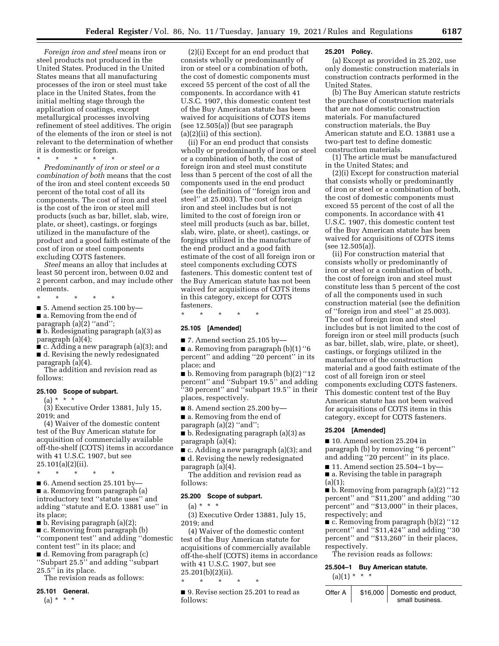*Foreign iron and steel* means iron or steel products not produced in the United States. Produced in the United States means that all manufacturing processes of the iron or steel must take place in the United States, from the initial melting stage through the application of coatings, except metallurgical processes involving refinement of steel additives. The origin of the elements of the iron or steel is not relevant to the determination of whether it is domestic or foreign.

\* \* \* \* \*

*Predominantly of iron or steel or a combination of both* means that the cost of the iron and steel content exceeds 50 percent of the total cost of all its components. The cost of iron and steel is the cost of the iron or steel mill products (such as bar, billet, slab, wire, plate, or sheet), castings, or forgings utilized in the manufacture of the product and a good faith estimate of the cost of iron or steel components excluding COTS fasteners.

*Steel* means an alloy that includes at least 50 percent iron, between 0.02 and 2 percent carbon, and may include other elements.

\* \* \* \* \*

 $\blacksquare$  5. Amend section 25.100 by-

■ a. Removing from the end of

paragraph (a)(2) "and";

■ b. Redesignating paragraph (a)(3) as paragraph (a)(4);

■ c. Adding a new paragraph (a)(3); and ■ d. Revising the newly redesignated paragraph (a)(4).

The addition and revision read as follows:

#### **25.100 Scope of subpart.**

 $(a) * * * *$ 

(3) Executive Order 13881, July 15, 2019; and

(4) Waiver of the domestic content test of the Buy American statute for acquisition of commercially available off-the-shelf (COTS) items in accordance with 41 U.S.C. 1907, but see 25.101(a)(2)(ii).

\* \* \* \* \*

■ 6. Amend section 25.101 by-■ a. Removing from paragraph (a) introductory text ''statute uses'' and adding ''statute and E.O. 13881 use'' in its place;

 $\blacksquare$  b. Revising paragraph (a)(2);

■ c. Removing from paragraph (b) ''component test'' and adding ''domestic content test'' in its place; and

■ d. Removing from paragraph (c) ''Subpart 25.5'' and adding ''subpart 25.5'' in its place.

The revision reads as follows:

#### **25.101 General.**

 $(a) * * * *$ 

(2)(i) Except for an end product that consists wholly or predominantly of iron or steel or a combination of both, the cost of domestic components must exceed 55 percent of the cost of all the components. In accordance with 41 U.S.C. 1907, this domestic content test of the Buy American statute has been waived for acquisitions of COTS items (see 12.505(a)) (but see paragraph (a)(2)(ii) of this section).

(ii) For an end product that consists wholly or predominantly of iron or steel or a combination of both, the cost of foreign iron and steel must constitute less than 5 percent of the cost of all the components used in the end product (see the definition of ''foreign iron and steel'' at 25.003). The cost of foreign iron and steel includes but is not limited to the cost of foreign iron or steel mill products (such as bar, billet, slab, wire, plate, or sheet), castings, or forgings utilized in the manufacture of the end product and a good faith estimate of the cost of all foreign iron or steel components excluding COTS fasteners. This domestic content test of the Buy American statute has not been waived for acquisitions of COTS items in this category, except for COTS fasteners.

\* \* \* \* \*

#### **25.105 [Amended]**

 $\blacksquare$  7. Amend section 25.105 by- $\blacksquare$  a. Removing from paragraph (b)(1) "6 percent'' and adding ''20 percent'' in its place; and

■ b. Removing from paragraph (b)(2) ''12 percent'' and ''Subpart 19.5'' and adding ''30 percent'' and ''subpart 19.5'' in their places, respectively.

■ 8. Amend section 25.200 by—

■ a. Removing from the end of

paragraph (a)(2) "and";

■ b. Redesignating paragraph (a)(3) as paragraph (a)(4);

■ c. Adding a new paragraph (a)(3); and ■ d. Revising the newly redesignated paragraph (a)(4).

The addition and revision read as follows:

#### **25.200 Scope of subpart.**

\* \* \* \* \*

 $(a) * * * *$ 

(3) Executive Order 13881, July 15, 2019; and

(4) Waiver of the domestic content test of the Buy American statute for acquisitions of commercially available off-the-shelf (COTS) items in accordance with 41 U.S.C. 1907, but see 25.201(b)(2)(ii).

■ 9. Revise section 25.201 to read as follows:

# **25.201 Policy.**

(a) Except as provided in 25.202, use only domestic construction materials in construction contracts performed in the United States.

(b) The Buy American statute restricts the purchase of construction materials that are not domestic construction materials. For manufactured construction materials, the Buy American statute and E.O. 13881 use a two-part test to define domestic construction materials.

(1) The article must be manufactured in the United States; and

(2)(i) Except for construction material that consists wholly or predominantly of iron or steel or a combination of both, the cost of domestic components must exceed 55 percent of the cost of all the components. In accordance with 41 U.S.C. 1907, this domestic content test of the Buy American statute has been waived for acquisitions of COTS items (see 12.505(a)).

(ii) For construction material that consists wholly or predominantly of iron or steel or a combination of both, the cost of foreign iron and steel must constitute less than 5 percent of the cost of all the components used in such construction material (see the definition of ''foreign iron and steel'' at 25.003). The cost of foreign iron and steel includes but is not limited to the cost of foreign iron or steel mill products (such as bar, billet, slab, wire, plate, or sheet), castings, or forgings utilized in the manufacture of the construction material and a good faith estimate of the cost of all foreign iron or steel components excluding COTS fasteners. This domestic content test of the Buy American statute has not been waived for acquisitions of COTS items in this category, except for COTS fasteners.

### **25.204 [Amended]**

■ 10. Amend section 25.204 in paragraph (b) by removing ''6 percent'' and adding ''20 percent'' in its place.

 $\blacksquare$  11. Amend section 25.504-1 by-

■ a. Revising the table in paragraph (a)(1);

■ b. Removing from paragraph (a)(2) "12 percent'' and ''\$11,200'' and adding ''30 percent" and "\$13,000" in their places, respectively; and

■ c. Removing from paragraph (b)(2) "12 percent'' and ''\$11,424'' and adding ''30 percent'' and ''\$13,260'' in their places, respectively.

The revision reads as follows:

#### **25.504–1 Buy American statute.**

 $(a)(1) * * * *$ 

| Offer A | \$16,000   Domestic end product, |
|---------|----------------------------------|
|         | small business.                  |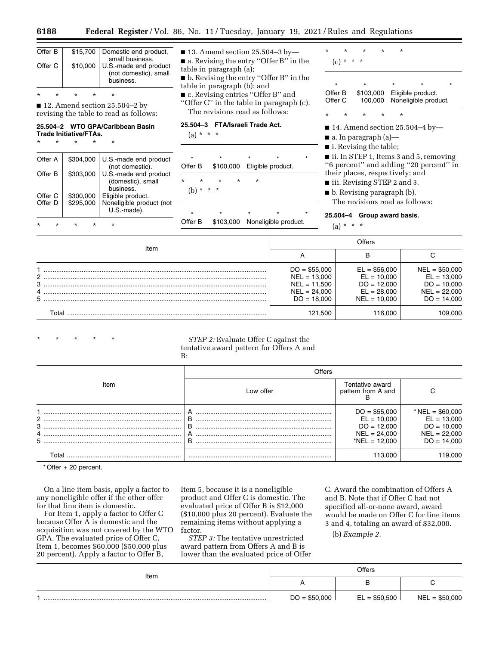| Offer B |          | \$15,700   Domestic end product,<br>small business.         |
|---------|----------|-------------------------------------------------------------|
| Offer C | \$10,000 | U.S.-made end product<br>(not domestic), small<br>business. |

■ 12. Amend section 25.504–2 by revising the table to read as follows:

#### **25.504–2 WTO GPA/Caribbean Basin Trade Initiative/FTAs.**

\* \* \* \* \*

\* \* \* \* \*

\* \* \* \* \*

| Offer A | \$304.000 | U.S.-made end product<br>(not domestic).                |
|---------|-----------|---------------------------------------------------------|
| Offer B | \$303.000 | U.S.-made end product<br>(domestic), small<br>business. |
| Offer C | \$300,000 | Eligible product.                                       |
| Offer D | \$295,000 | Noneligible product (not<br>U.S.-made).                 |
|         |           |                                                         |

 $\blacksquare$  13. Amend section 25.504-3 by-

■ a. Revising the entry "Offer B" in the table in paragraph (a);

■ b. Revising the entry "Offer B" in the table in paragraph (b); and

■ c. Revising entries "Offer B" and ''Offer C'' in the table in paragraph (c).

The revisions read as follows:

# **25.504–3 FTA/Israeli Trade Act.**

 $(a) * * * *$ 

| $\star$ |          | $\star$   |          | $\star$ | $\star$                     | $\star$ |
|---------|----------|-----------|----------|---------|-----------------------------|---------|
| Offer B |          |           |          |         | \$100,000 Eligible product. |         |
| $\star$ | $\star$  | $\star$   | $^\star$ | $\star$ |                             |         |
| (b)     | $^\star$ | * *       |          |         |                             |         |
|         |          |           |          |         |                             |         |
| $\star$ |          | $\star$   |          | $\star$ | $\star$                     | $\star$ |
| Offer B |          | \$103,000 |          |         | Noneligible product.        |         |

\* \* \* \* \*  $(c) * * * *$ \* \* \* \* \* Offer B \$103,000 Eligible product. Offer C 100,000 Noneligible product. \* \* \* \* \*

 $\blacksquare$  14. Amend section 25.504-4 by-

■ a. In paragraph (a)—

■ i. Revising the table;

■ ii. In STEP 1, Items 3 and 5, removing ''6 percent'' and adding ''20 percent'' in their places, respectively; and

■ iii. Revising STEP 2 and 3.

■ b. Revising paragraph (b).

The revisions read as follows:

# **25.504–4 Group award basis.**

 $(a) * * * *$ 

|                          | Offers                                                                              |                                                                                     |                                                                                      |
|--------------------------|-------------------------------------------------------------------------------------|-------------------------------------------------------------------------------------|--------------------------------------------------------------------------------------|
| Item                     | Ħ                                                                                   | в                                                                                   |                                                                                      |
| $\overline{2}$<br>3<br>5 | $DO = $55,000$<br>$NEL = 13,000$<br>NEL = 11,500<br>$NEL = 24,000$<br>$DO = 18,000$ | $EL = $56,000$<br>$EL = 10.000$<br>$DO = 12,000$<br>$EL = 28.000$<br>$NEL = 10.000$ | $NEL = $50,000$<br>$EL = 13,000$<br>$DO = 10.000$<br>$NEL = 22.000$<br>$DO = 14.000$ |
| Total                    | 121.500                                                                             | 116.000                                                                             | .09.000                                                                              |

# STEP 2: Evaluate Offer C against the tentative award pattern for Offers A and B:

|                 | Offers      |                                                                                       |                                                                                        |
|-----------------|-------------|---------------------------------------------------------------------------------------|----------------------------------------------------------------------------------------|
| Item            | Low offer   | Tentative award<br>pattern from A and                                                 | C.                                                                                     |
| $2$ .<br>4<br>5 | B<br>B<br>B | $DO = $55,000$<br>$EL = 10,000$<br>$DO = 12,000$<br>$NEL = 24,000$<br>*NEL = $12,000$ | * NEL = $$60,000$<br>$EL = 13,000$<br>$DO = 10,000$<br>$NEL = 22,000$<br>$DO = 14,000$ |
| ⊺otal           |             | 113.000                                                                               | 19.000                                                                                 |

\* Offer + 20 percent.

On a line item basis, apply a factor to any noneligible offer if the other offer for that line item is domestic.

For Item 1, apply a factor to Offer C because Offer A is domestic and the acquisition was not covered by the WTO GPA. The evaluated price of Offer C, Item 1, becomes \$60,000 (\$50,000 plus 20 percent). Apply a factor to Offer B,

Item 5, because it is a noneligible product and Offer C is domestic. The evaluated price of Offer B is \$12,000 (\$10,000 plus 20 percent). Evaluate the remaining items without applying a factor.

*STEP 3:* The tentative unrestricted award pattern from Offers A and B is lower than the evaluated price of Offer C. Award the combination of Offers A and B. Note that if Offer C had not specified all-or-none award, award would be made on Offer C for line items 3 and 4, totaling an award of \$32,000.

(b) *Example 2.* 

| $\overline{\phantom{a}}$ |                |                |                 |
|--------------------------|----------------|----------------|-----------------|
| Item                     | Offers         |                |                 |
|                          | в<br>А         |                |                 |
|                          | $DO = $50,000$ | $EL = $50,500$ | $NEL = $50,000$ |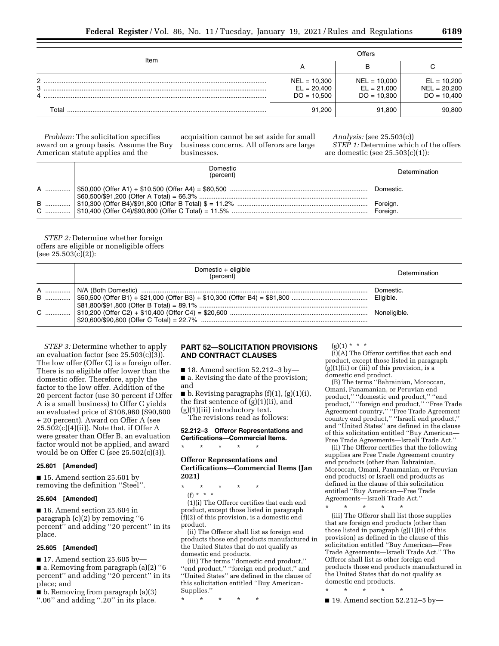| Item        | Offers                                           |                                                  |                                                  |
|-------------|--------------------------------------------------|--------------------------------------------------|--------------------------------------------------|
|             | n                                                | в                                                |                                                  |
| C<br>3<br>4 | $NEL = 10,300$<br>$EL = 20,400$<br>$DO = 10,500$ | $NEL = 10,000$<br>$EL = 21,000$<br>$DO = 10,300$ | $EL = 10,200$<br>$NEL = 20,200$<br>$DO = 10,400$ |
| Total       | 91,200                                           | 91.800                                           | 90.800                                           |

*Problem:* The solicitation specifies award on a group basis. Assume the Buy American statute applies and the

acquisition cannot be set aside for small business concerns. All offerors are large businesses.

*Analysis:* (see 25.503(c)) *STEP 1:* Determine which of the offers are domestic (see 25.503(c)(1)):

| Domestic<br>(percent) | Determination        |
|-----------------------|----------------------|
|                       | Domestic.            |
|                       | Foreign.<br>Foreian. |

*STEP 2:* Determine whether foreign offers are eligible or noneligible offers  $(see 25.503(c)(2))$ :

| Domestic + eligible<br>(percent) | Determination |
|----------------------------------|---------------|
|                                  | Domestic.     |
|                                  |               |

*STEP 3:* Determine whether to apply an evaluation factor (see 25.503(c)(3)). The low offer (Offer C) is a foreign offer. There is no eligible offer lower than the domestic offer. Therefore, apply the factor to the low offer. Addition of the 20 percent factor (use 30 percent if Offer A is a small business) to Offer C yields an evaluated price of \$108,960 (\$90,800 + 20 percent). Award on Offer A (see  $25.502(c)(4)(ii)$ . Note that, if Offer A were greater than Offer B, an evaluation factor would not be applied, and award would be on Offer C (see 25.502(c)(3)).

### **25.601 [Amended]**

■ 15. Amend section 25.601 by removing the definition ''Steel''.

#### **25.604 [Amended]**

■ 16. Amend section 25.604 in paragraph (c)(2) by removing ''6 percent'' and adding ''20 percent'' in its place.

# **25.605 [Amended]**

■ 17. Amend section 25.605 by—

■ a. Removing from paragraph (a)(2) ''6 percent'' and adding ''20 percent'' in its place; and

■ b. Removing from paragraph (a)(3)

''.06'' and adding ''.20'' in its place.

# **PART 52—SOLICITATION PROVISIONS AND CONTRACT CLAUSES**

■ 18. Amend section 52.212–3 by– ■ a. Revising the date of the provision; and

 $\blacksquare$  b. Revising paragraphs  $(f)(1)$ ,  $(g)(1)(i)$ , the first sentence of (g)(1)(ii), and (g)(1)(iii) introductory text. The revisions read as follows:

# **52.212–3 Offeror Representations and Certifications—Commercial Items.**  \* \* \* \* \*

# **Offeror Representations and Certifications—Commercial Items (Jan 2021)**

\* \* \* \* \* (f) \* \* \* (1)(i) The Offeror certifies that each end

product, except those listed in paragraph  $(f)(2)$  of this provision, is a domestic end product.

(ii) The Offeror shall list as foreign end products those end products manufactured in the United States that do not qualify as domestic end products.

(iii) The terms ''domestic end product,'' ''end product,'' ''foreign end product,'' and ''United States'' are defined in the clause of this solicitation entitled ''Buy American-Supplies.''

\* \* \* \* \*

 $(g)(1) * * * *$ 

(i)(A) The Offeror certifies that each end product, except those listed in paragraph  $(g)(1)(ii)$  or  $(iii)$  of this provision, is a domestic end product.

(B) The terms ''Bahrainian, Moroccan, Omani, Panamanian, or Peruvian end product,'' ''domestic end product,'' ''end product,'' ''foreign end product,'' ''Free Trade Agreement country,'' ''Free Trade Agreement country end product,'' ''Israeli end product,'' and ''United States'' are defined in the clause of this solicitation entitled ''Buy American— Free Trade Agreements—Israeli Trade Act.''

(ii) The Offeror certifies that the following supplies are Free Trade Agreement country end products (other than Bahrainian, Moroccan, Omani, Panamanian, or Peruvian end products) or Israeli end products as defined in the clause of this solicitation entitled ''Buy American—Free Trade Agreements—Israeli Trade Act.'

\* \* \* \* \* (iii) The Offeror shall list those supplies that are foreign end products (other than

those listed in paragraph (g)(1)(ii) of this provision) as defined in the clause of this solicitation entitled ''Buy American—Free Trade Agreements—Israeli Trade Act.'' The Offeror shall list as other foreign end products those end products manufactured in the United States that do not qualify as domestic end products.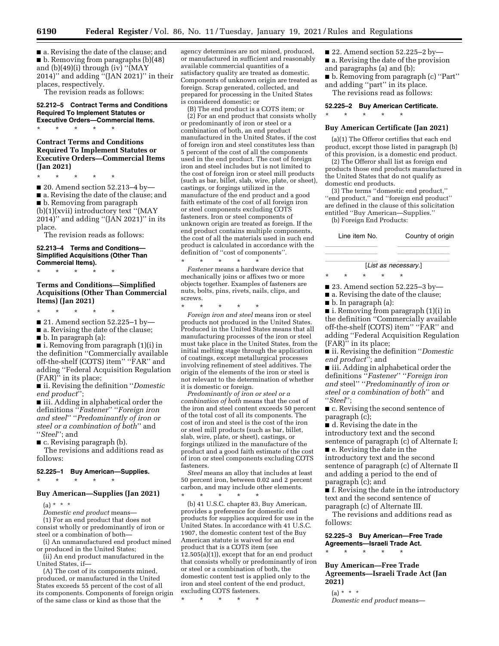■ a. Revising the date of the clause; and ■ b. Removing from paragraphs (b)(48) and (b)(49)(i) through (iv) " $\overline{MAY}$ 2014)" and adding  $\sqrt[n]{(JAN 2021)}$ " in their places, respectively.

The revision reads as follows:

# **52.212–5 Contract Terms and Conditions Required To Implement Statutes or Executive Orders—Commercial Items.**  \* \* \* \* \*

# **Contract Terms and Conditions Required To Implement Statutes or Executive Orders—Commercial Items (Jan 2021)**

\* \* \* \* \*

■ 20. Amend section 52.213–4 by— ■ a. Revising the date of the clause; and ■ b. Removing from paragraph (b)(1)(xvii) introductory text ''(MAY 2014)'' and adding ''(JAN 2021)'' in its place.

The revision reads as follows:

# **52.213–4 Terms and Conditions— Simplified Acquisitions (Other Than Commercial Items).**

\* \* \* \* \*

# **Terms and Conditions—Simplified Acquisitions (Other Than Commercial Items) (Jan 2021)**

\* \* \* \* \*

■ 21. Amend section 52.225-1 by-

■ a. Revising the date of the clause;

■ b. In paragraph (a):

■ i. Removing from paragraph (1)(i) in the definition ''Commercially available off-the-shelf (COTS) item'' ''FAR'' and adding ''Federal Acquisition Regulation (FAR)'' in its place;

■ ii. Revising the definition ''*Domestic end product*'';

■ iii. Adding in alphabetical order the definitions ''*Fastener*'' ''*Foreign iron and steel*'' ''*Predominantly of iron or steel or a combination of both*'' and ''*Steel*''; and

■ c. Revising paragraph (b).

The revisions and additions read as follows:

# **52.225–1 Buy American—Supplies.**

# $\star$   $\star$

# **Buy American—Supplies (Jan 2021)**

 $(a) * * * *$ 

*Domestic end product* means—

(1) For an end product that does not consist wholly or predominantly of iron or steel or a combination of both—

(i) An unmanufactured end product mined or produced in the United States;

(ii) An end product manufactured in the United States, if—

(A) The cost of its components mined, produced, or manufactured in the United States exceeds 55 percent of the cost of all its components. Components of foreign origin of the same class or kind as those that the

agency determines are not mined, produced, or manufactured in sufficient and reasonably available commercial quantities of a satisfactory quality are treated as domestic. Components of unknown origin are treated as foreign. Scrap generated, collected, and prepared for processing in the United States is considered domestic; or

(B) The end product is a COTS item; or (2) For an end product that consists wholly or predominantly of iron or steel or a combination of both, an end product manufactured in the United States, if the cost of foreign iron and steel constitutes less than 5 percent of the cost of all the components used in the end product. The cost of foreign iron and steel includes but is not limited to the cost of foreign iron or steel mill products (such as bar, billet, slab, wire, plate, or sheet), castings, or forgings utilized in the manufacture of the end product and a good faith estimate of the cost of all foreign iron or steel components excluding COTS fasteners. Iron or steel components of unknown origin are treated as foreign. If the end product contains multiple components, the cost of all the materials used in such end product is calculated in accordance with the definition of ''cost of components''. \* \* \* \* \*

*Fastener* means a hardware device that mechanically joins or affixes two or more objects together. Examples of fasteners are nuts, bolts, pins, rivets, nails, clips, and screws.

\* \* \* \* \* *Foreign iron and steel* means iron or steel products not produced in the United States. Produced in the United States means that all manufacturing processes of the iron or steel must take place in the United States, from the initial melting stage through the application of coatings, except metallurgical processes involving refinement of steel additives. The origin of the elements of the iron or steel is not relevant to the determination of whether it is domestic or foreign.

*Predominantly of iron or steel or a combination of both* means that the cost of the iron and steel content exceeds 50 percent of the total cost of all its components. The cost of iron and steel is the cost of the iron or steel mill products (such as bar, billet, slab, wire, plate, or sheet), castings, or forgings utilized in the manufacture of the product and a good faith estimate of the cost of iron or steel components excluding COTS fasteners.

*Steel* means an alloy that includes at least 50 percent iron, between 0.02 and 2 percent carbon, and may include other elements.

\* \* \* \* \* (b) 41 U.S.C. chapter 83, Buy American, provides a preference for domestic end products for supplies acquired for use in the United States. In accordance with 41 U.S.C. 1907, the domestic content test of the Buy American statute is waived for an end product that is a COTS item (see 12.505(a)(1)), except that for an end product that consists wholly or predominantly of iron or steel or a combination of both, the domestic content test is applied only to the iron and steel content of the end product, excluding COTS fasteners.

\* \* \* \* \*

- 22. Amend section 52.225–2 by—
- a. Revising the date of the provision
- and paragraphs (a) and (b);
- b. Removing from paragraph (c) "Part" and adding ''part'' in its place.

The revisions read as follows:

#### **52.225–2 Buy American Certificate.**

# \* \* \* \* \*

#### **Buy American Certificate (Jan 2021)**

(a)(1) The Offeror certifies that each end product, except those listed in paragraph (b) of this provision, is a domestic end product.

(2) The Offeror shall list as foreign end products those end products manufactured in the United States that do not qualify as domestic end products.

(3) The terms ''domestic end product,'' ''end product,'' and ''foreign end product'' are defined in the clause of this solicitation entitled ''Buy American—Supplies.'' (b) Foreign End Products:

Line item No. Country of origin

# llllllll llllllll **List as necessary.**]

llllllll llllllll

■ 23. Amend section 52.225–3 by—

■ a. Revising the date of the clause;

\* \* \* \* \*

■ b. In paragraph (a):

■ i. Removing from paragraph (1)(i) in the definition ''Commercially available off-the-shelf (COTS) item'' ''FAR'' and adding ''Federal Acquisition Regulation (FAR)'' in its place;

■ ii. Revising the definition ''*Domestic end product*''; and

■ iii. Adding in alphabetical order the definitions ''*Fastener*'' ''*Foreign iron and* steel'' ''*Predominantly of iron or steel or a combination of both*'' and ''*Steel*'';

■ c. Revising the second sentence of paragraph (c);

■ d. Revising the date in the introductory text and the second sentence of paragraph (c) of Alternate I;

■ e. Revising the date in the introductory text and the second sentence of paragraph (c) of Alternate II and adding a period to the end of paragraph (c); and

■ f. Revising the date in the introductory text and the second sentence of paragraph (c) of Alternate III.

The revisions and additions read as follows:

**52.225–3 Buy American—Free Trade Agreements—Israeli Trade Act.** 

**Buy American—Free Trade Agreements—Israeli Trade Act (Jan 2021)** 

 $(a) * * * *$ *Domestic end product* means—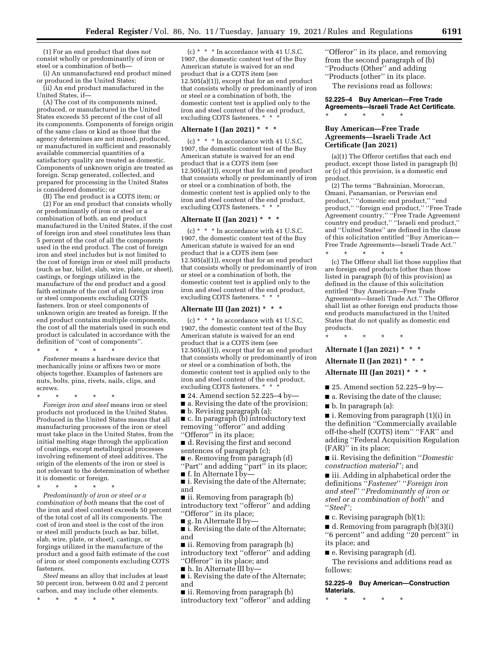(1) For an end product that does not consist wholly or predominantly of iron or steel or a combination of both—

(i) An unmanufactured end product mined or produced in the United States;

(ii) An end product manufactured in the United States, if—

(A) The cost of its components mined, produced, or manufactured in the United States exceeds 55 percent of the cost of all its components. Components of foreign origin of the same class or kind as those that the agency determines are not mined, produced, or manufactured in sufficient and reasonably available commercial quantities of a satisfactory quality are treated as domestic. Components of unknown origin are treated as foreign. Scrap generated, collected, and prepared for processing in the United States is considered domestic; or

(B) The end product is a COTS item; or

(2) For an end product that consists wholly or predominantly of iron or steel or a combination of both, an end product manufactured in the United States, if the cost of foreign iron and steel constitutes less than 5 percent of the cost of all the components used in the end product. The cost of foreign iron and steel includes but is not limited to the cost of foreign iron or steel mill products (such as bar, billet, slab, wire, plate, or sheet), castings, or forgings utilized in the manufacture of the end product and a good faith estimate of the cost of all foreign iron or steel components excluding COTS fasteners. Iron or steel components of unknown origin are treated as foreign. If the end product contains multiple components, the cost of all the materials used in such end product is calculated in accordance with the definition of ''cost of components''. \* \* \* \* \*

*Fastener* means a hardware device that mechanically joins or affixes two or more objects together. Examples of fasteners are nuts, bolts, pins, rivets, nails, clips, and screws.

\* \* \* \* \*

*Foreign iron and steel* means iron or steel products not produced in the United States. Produced in the United States means that all manufacturing processes of the iron or steel must take place in the United States, from the initial melting stage through the application of coatings, except metallurgical processes involving refinement of steel additives. The origin of the elements of the iron or steel is not relevant to the determination of whether it is domestic or foreign.

\* \* \* \* \*

*Predominantly of iron or steel or a combination of both* means that the cost of the iron and steel content exceeds 50 percent of the total cost of all its components. The cost of iron and steel is the cost of the iron or steel mill products (such as bar, billet, slab, wire, plate, or sheet), castings, or forgings utilized in the manufacture of the product and a good faith estimate of the cost of iron or steel components excluding COTS fasteners.

*Steel* means an alloy that includes at least 50 percent iron, between 0.02 and 2 percent carbon, and may include other elements.

\* \* \* \* \*

 $(c)$  \* \* \* In accordance with 41 U.S.C. 1907, the domestic content test of the Buy American statute is waived for an end product that is a COTS item (see 12.505(a)(1)), except that for an end product that consists wholly or predominantly of iron or steel or a combination of both, the domestic content test is applied only to the iron and steel content of the end product, excluding COTS fasteners. \* \* \*

#### **Alternate I (Jan 2021) \* \* \***

(c) \* \* \* In accordance with 41 U.S.C. 1907, the domestic content test of the Buy American statute is waived for an end product that is a COTS item (see 12.505(a)(1)), except that for an end product that consists wholly or predominantly of iron or steel or a combination of both, the domestic content test is applied only to the iron and steel content of the end product, excluding COTS fasteners. \* \* \*

# **Alternate II (Jan 2021) \* \* \***

 $(c) * * * In accordance with 41 U.S.C.$ 1907, the domestic content test of the Buy American statute is waived for an end product that is a COTS item (see 12.505(a)(1)), except that for an end product that consists wholly or predominantly of iron or steel or a combination of both, the domestic content test is applied only to the iron and steel content of the end product, excluding COTS fasteners. \* \* \*

# **Alternate III (Jan 2021) \* \* \***

(c)  $*$   $*$   $*$  In accordance with 41 U.S.C. 1907, the domestic content test of the Buy American statute is waived for an end product that is a COTS item (see 12.505(a)(1)), except that for an end product that consists wholly or predominantly of iron or steel or a combination of both, the domestic content test is applied only to the iron and steel content of the end product, excluding COTS fasteners. \* \* \*

 $\blacksquare$  24. Amend section 52.225–4 by–

■ a. Revising the date of the provision; ■ b. Revising paragraph (a);

■ c. In paragraph (b) introductory text removing ''offeror'' and adding ''Offeror'' in its place;

■ d. Revising the first and second

sentences of paragraph (c); ■ e. Removing from paragraph (d)

"Part" and adding "part" in its place;

■ f. In Alternate I by—

■ i. Revising the date of the Alternate; and

■ ii. Removing from paragraph (b) introductory text ''offeror'' and adding "Offeror" in its place;

■ g. In Alternate II by-

■ i. Revising the date of the Alternate; and

■ ii. Removing from paragraph (b) introductory text ''offeror'' and adding ''Offeror'' in its place; and

■ h. In Alternate III by—

■ i. Revising the date of the Alternate; and

■ ii. Removing from paragraph (b) introductory text ''offeror'' and adding ''Offeror'' in its place, and removing from the second paragraph of (b) ''Products (Other'' and adding ''Products (other'' in its place.

The revisions read as follows:

**52.225–4 Buy American—Free Trade Agreements—Israeli Trade Act Certificate.**  \* \* \* \* \*

# **Buy American—Free Trade Agreements—Israeli Trade Act Certificate (Jan 2021)**

(a)(1) The Offeror certifies that each end product, except those listed in paragraph (b) or (c) of this provision, is a domestic end product.

(2) The terms ''Bahrainian, Moroccan, Omani, Panamanian, or Peruvian end product,'' ''domestic end product,'' ''end product,'' ''foreign end product,'' ''Free Trade Agreement country,'' ''Free Trade Agreement country end product,'' ''Israeli end product,'' and ''United States'' are defined in the clause of this solicitation entitled ''Buy American— Free Trade Agreements—Israeli Trade Act.'' \* \* \* \* \*

(c) The Offeror shall list those supplies that are foreign end products (other than those listed in paragraph (b) of this provision) as defined in the clause of this solicitation entitled ''Buy American—Free Trade Agreements—Israeli Trade Act.'' The Offeror shall list as other foreign end products those end products manufactured in the United States that do not qualify as domestic end products.

\* \* \* \* \*

# **Alternate I (Jan 2021) \* \* \***

# **Alternate II (Jan 2021) \* \* \***

- **Alternate III (Jan 2021) \* \* \***
- $\blacksquare$  25. Amend section 52.225–9 by—
- a. Revising the date of the clause;
- b. In paragraph (a):

■ i. Removing from paragraph (1)(i) in the definition ''Commercially available off-the-shelf (COTS) item'' ''FAR'' and adding ''Federal Acquisition Regulation (FAR)'' in its place;

■ ii. Revising the definition ''*Domestic construction material*''; and

■ iii. Adding in alphabetical order the definitions ''*Fastener*'' ''*Foreign iron and steel*'' ''*Predominantly of iron or steel or a combination of both*'' and ''*Steel*'';

 $\blacksquare$  c. Revising paragraph (b)(1);

■ d. Removing from paragraph (b)(3)(i) ''6 percent'' and adding ''20 percent'' in its place; and

■ e. Revising paragraph (d).

The revisions and additions read as follows:

**52.225–9 Buy American—Construction Materials.**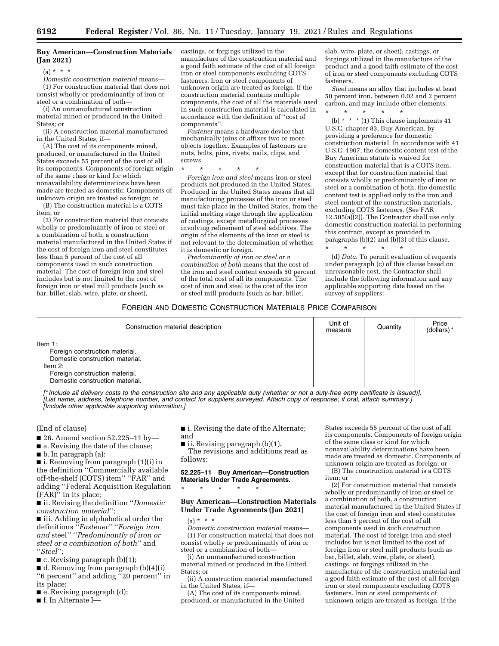### **Buy American—Construction Materials (Jan 2021)**

 $(a) * * * *$ 

*Domestic construction material* means— (1) For construction material that does not consist wholly or predominantly of iron or steel or a combination of both—

(i) An unmanufactured construction material mined or produced in the United States: or

(ii) A construction material manufactured in the United States, if—

(A) The cost of its components mined, produced, or manufactured in the United States exceeds 55 percent of the cost of all its components. Components of foreign origin of the same class or kind for which nonavailability determinations have been made are treated as domestic. Components of unknown origin are treated as foreign; or

(B) The construction material is a COTS item; or (2) For construction material that consists

wholly or predominantly of iron or steel or a combination of both, a construction material manufactured in the United States if the cost of foreign iron and steel constitutes less than 5 percent of the cost of all components used in such construction material. The cost of foreign iron and steel includes but is not limited to the cost of foreign iron or steel mill products (such as bar, billet, slab, wire, plate, or sheet),

castings, or forgings utilized in the manufacture of the construction material and a good faith estimate of the cost of all foreign iron or steel components excluding COTS fasteners. Iron or steel components of unknown origin are treated as foreign. If the construction material contains multiple components, the cost of all the materials used in such construction material is calculated in accordance with the definition of ''cost of components''.

*Fastener* means a hardware device that mechanically joins or affixes two or more objects together. Examples of fasteners are nuts, bolts, pins, rivets, nails, clips, and screws.

\* \* \* \* \*

*Foreign iron and steel* means iron or steel products not produced in the United States. Produced in the United States means that all manufacturing processes of the iron or steel must take place in the United States, from the initial melting stage through the application of coatings, except metallurgical processes involving refinement of steel additives. The origin of the elements of the iron or steel is not relevant to the determination of whether it is domestic or foreign.

*Predominantly of iron or steel or a combination of both* means that the cost of the iron and steel content exceeds 50 percent of the total cost of all its components. The cost of iron and steel is the cost of the iron or steel mill products (such as bar, billet,

slab, wire, plate, or sheet), castings, or forgings utilized in the manufacture of the product and a good faith estimate of the cost of iron or steel components excluding COTS fasteners.

*Steel* means an alloy that includes at least 50 percent iron, between 0.02 and 2 percent carbon, and may include other elements.

\* \* \* \* \* (b) \* \* \* (1) This clause implements 41 U.S.C. chapter 83, Buy American, by providing a preference for domestic construction material. In accordance with 41 U.S.C. 1907, the domestic content test of the Buy American statute is waived for construction material that is a COTS item, except that for construction material that consists wholly or predominantly of iron or

steel or a combination of both, the domestic content test is applied only to the iron and steel content of the construction materials, excluding COTS fasteners. (See FAR 12.505(a)(2)). The Contractor shall use only domestic construction material in performing this contract, except as provided in paragraphs  $(b)(2)$  and  $(b)(3)$  of this clause. \* \* \* \* \*

(d) *Data.* To permit evaluation of requests under paragraph (c) of this clause based on unreasonable cost, the Contractor shall include the following information and any applicable supporting data based on the survey of suppliers:

#### FOREIGN AND DOMESTIC CONSTRUCTION MATERIALS PRICE COMPARISON

| Construction material description                                                                                                                                  | Unit of<br>measure | Quantity | Price<br>(dollars)* |
|--------------------------------------------------------------------------------------------------------------------------------------------------------------------|--------------------|----------|---------------------|
| Item $1$ :<br>Foreign construction material.<br>Domestic construction material.<br>Item $2$ :<br>Foreign construction material.<br>Domestic construction material. |                    |          |                     |

[\* Include all delivery costs to the construction site and any applicable duty (whether or not a duty-free entry certificate is issued)]. *[List name, address, telephone number, and contact for suppliers surveyed. Attach copy of response; if oral, attach summary.] [Include other applicable supporting information.]* 

(End of clause)

■ 26. Amend section 52.225-11 by-

■ a. Revising the date of the clause;

■ b. In paragraph (a):

■ i. Removing from paragraph (1)(i) in the definition ''Commercially available off-the-shelf (COTS) item'' ''FAR'' and adding ''Federal Acquisition Regulation (FAR)'' in its place;

■ ii. Revising the definition ''*Domestic construction material*'';

■ iii. Adding in alphabetical order the definitions ''*Fastener*'' ''*Foreign iron and* steel'' ''*Predominantly of iron or steel or a combination of both*'' and ''*Steel*'';

 $\blacksquare$  c. Revising paragraph (b)(1);

■ d. Removing from paragraph (b)(4)(i) ''6 percent'' and adding ''20 percent'' in

its place;

■ e. Revising paragraph (d);

■ f. In Alternate I—

■ i. Revising the date of the Alternate; and

■ ii. Revising paragraph (b)(1). The revisions and additions read as follows:

**52.225–11 Buy American—Construction Materials Under Trade Agreements.**  \* \* \* \* \*

# **Buy American—Construction Materials Under Trade Agreements (Jan 2021)**

 $(a) * * * *$ *Domestic construction material* means— (1) For construction material that does not consist wholly or predominantly of iron or steel or a combination of both—

(i) An unmanufactured construction material mined or produced in the United States; or

(ii) A construction material manufactured in the United States, if—

(A) The cost of its components mined, produced, or manufactured in the United

States exceeds 55 percent of the cost of all its components. Components of foreign origin of the same class or kind for which nonavailability determinations have been made are treated as domestic. Components of unknown origin are treated as foreign; or

(B) The construction material is a COTS item; or

(2) For construction material that consists wholly or predominantly of iron or steel or a combination of both, a construction material manufactured in the United States if the cost of foreign iron and steel constitutes less than 5 percent of the cost of all components used in such construction material. The cost of foreign iron and steel includes but is not limited to the cost of foreign iron or steel mill products (such as bar, billet, slab, wire, plate, or sheet), castings, or forgings utilized in the manufacture of the construction material and a good faith estimate of the cost of all foreign iron or steel components excluding COTS fasteners. Iron or steel components of unknown origin are treated as foreign. If the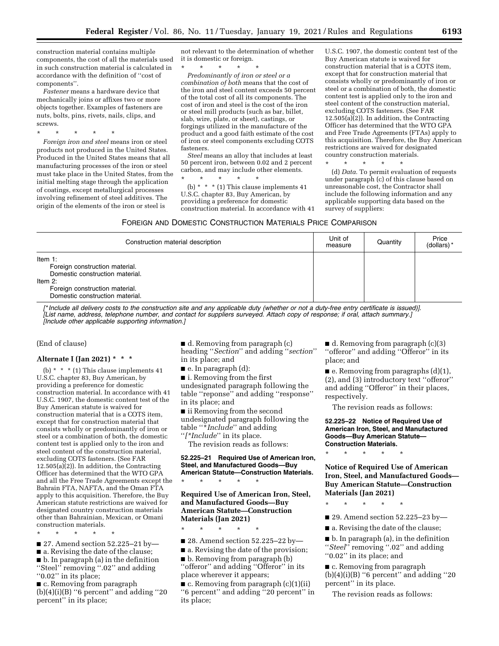construction material contains multiple components, the cost of all the materials used in such construction material is calculated in accordance with the definition of ''cost of components''.

*Fastener* means a hardware device that mechanically joins or affixes two or more objects together. Examples of fasteners are nuts, bolts, pins, rivets, nails, clips, and screws.

\* \* \* \* \* *Foreign iron and steel* means iron or steel products not produced in the United States. Produced in the United States means that all manufacturing processes of the iron or steel must take place in the United States, from the initial melting stage through the application of coatings, except metallurgical processes involving refinement of steel additives. The origin of the elements of the iron or steel is

not relevant to the determination of whether it is domestic or foreign.

\* \* \* \* \*

*Predominantly of iron or steel or a combination of both* means that the cost of the iron and steel content exceeds 50 percent of the total cost of all its components. The cost of iron and steel is the cost of the iron or steel mill products (such as bar, billet, slab, wire, plate, or sheet), castings, or forgings utilized in the manufacture of the product and a good faith estimate of the cost of iron or steel components excluding COTS fasteners.

*Steel* means an alloy that includes at least 50 percent iron, between 0.02 and 2 percent carbon, and may include other elements.

\* \* \* \* \* (b) \* \* \* (1) This clause implements 41 U.S.C. chapter 83, Buy American, by providing a preference for domestic construction material. In accordance with 41

U.S.C. 1907, the domestic content test of the Buy American statute is waived for construction material that is a COTS item, except that for construction material that consists wholly or predominantly of iron or steel or a combination of both, the domestic content test is applied only to the iron and steel content of the construction material, excluding COTS fasteners. (See FAR  $12.505(a)\dot{)}(2)$ . In addition, the Contracting Officer has determined that the WTO GPA and Free Trade Agreements (FTAs) apply to this acquisition. Therefore, the Buy American restrictions are waived for designated country construction materials.

\* \* \* \* \*

(d) *Data.* To permit evaluation of requests under paragraph (c) of this clause based on unreasonable cost, the Contractor shall include the following information and any applicable supporting data based on the survey of suppliers:

#### FOREIGN AND DOMESTIC CONSTRUCTION MATERIALS PRICE COMPARISON

| Construction material description                                                                                                                                  | Unit of<br>measure | Quantity | Price<br>(dollars) * |
|--------------------------------------------------------------------------------------------------------------------------------------------------------------------|--------------------|----------|----------------------|
| Item $1$ :<br>Foreign construction material.<br>Domestic construction material.<br>Item $2$ :<br>Foreign construction material.<br>Domestic construction material. |                    |          |                      |

[\* Include all delivery costs to the construction site and any applicable duty (whether or not a duty-free entry certificate is issued)]. *[List name, address, telephone number, and contact for suppliers surveyed. Attach copy of response; if oral, attach summary.] [Include other applicable supporting information.]* 

(End of clause)

# **Alternate I (Jan 2021) \* \* \***

(b)  $*$   $*$   $*$  (1) This clause implements 41 U.S.C. chapter 83, Buy American, by providing a preference for domestic construction material. In accordance with 41 U.S.C. 1907, the domestic content test of the Buy American statute is waived for construction material that is a COTS item, except that for construction material that consists wholly or predominantly of iron or steel or a combination of both, the domestic content test is applied only to the iron and steel content of the construction material, excluding COTS fasteners. (See FAR 12.505(a)(2)). In addition, the Contracting Officer has determined that the WTO GPA and all the Free Trade Agreements except the Bahrain FTA, NAFTA, and the Oman FTA apply to this acquisition. Therefore, the Buy American statute restrictions are waived for designated country construction materials other than Bahrainian, Mexican, or Omani construction materials.

\* \* \* \* \*

- 27. Amend section 52.225–21 by—
- a. Revising the date of the clause;

■ b. In paragraph (a) in the definition ''Steel'' removing ''.02'' and adding "0.02" in its place;

■ c. Removing from paragraph  $(b)(4)(i)(B)$  "6 percent" and adding "20 percent'' in its place;

■ d. Removing from paragraph (c) heading ''*Section*'' and adding ''*section*'' in its place; and

■ e. In paragraph (d):

■ i. Removing from the first

undesignated paragraph following the table ''reponse'' and adding ''response'' in its place; and

■ ii Removing from the second undesignated paragraph following the table ''\**Include*'' and adding ''*[\*Include*'' in its place.

The revision reads as follows:

# **52.225–21 Required Use of American Iron, Steel, and Manufactured Goods—Buy American Statute—Construction Materials.**

**Required Use of American Iron, Steel, and Manufactured Goods—Buy American Statute—Construction Materials (Jan 2021)** 

\* \* \* \* \*

\* \* \* \* \*

- 28. Amend section 52.225–22 by—
- a. Revising the date of the provision;
- b. Removing from paragraph (b) ''offeror'' and adding ''Offeror'' in its place wherever it appears;

■ c. Removing from paragraph (c)(1)(ii) ''6 percent'' and adding ''20 percent'' in its place;

■ d. Removing from paragraph (c)(3) ''offeror'' and adding ''Offeror'' in its place; and

■ e. Removing from paragraphs (d)(1), (2), and (3) introductory text ''offeror'' and adding ''Offeror'' in their places, respectively.

The revision reads as follows:

**52.225–22 Notice of Required Use of American Iron, Steel, and Manufactured Goods—Buy American Statute— Construction Materials.** 

\* \* \* \* \*

**Notice of Required Use of American Iron, Steel, and Manufactured Goods— Buy American Statute—Construction Materials (Jan 2021)** 

\* \* \* \* \*

■ 29. Amend section 52.225-23 by-

■ a. Revising the date of the clause;

■ b. In paragraph (a), in the definition ''*Steel*'' removing ''.02'' and adding ''0.02'' in its place; and

■ c. Removing from paragraph  $(b)(4)(i)(B)$  "6 percent" and adding "20 percent'' in its place.

The revision reads as follows: